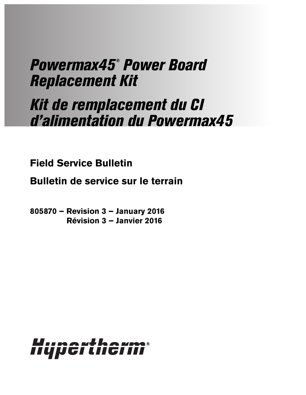# Powermax45® Power Board Replacement Kit

# Kit de remplacement du CI d'alimentation du Powermax45

**Field Service Bulletin**

**Bulletin de service sur le terrain**

**805870 – Revision 3 – January 2016 Révision 3 – Janvier 2016**

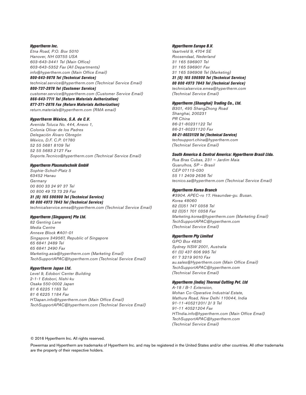#### Hypertherm Inc.

Etna Road, P.O. Box 5010 Hanover, NH 03755 USA 603-643-3441 Tel (Main Office) 603-643-5352 Fax (All Departments) info@hypertherm.com (Main Office Email)

800-643-9878 Tel (Technical Service) technical.service@hypertherm.com (Technical Service Email) 800-737-2978 Tel (Customer Service) customer.service@hypertherm.com (Customer Service Email) 866-643-7711 Tel (Return Materials Authorization) 877-371-2876 Fax (Return Materials Authorization) return.materials@hypertherm.com (RMA email)

### Hypertherm México, S.A. de C.V.

Avenida Toluca No. 444, Anexo 1, Colonia Olivar de los Padres Delegación Álvaro Obregón México, D.F. C.P. 01780 52 55 5681 8109 Tel 52 55 5683 2127 Fax Soporte.Tecnico@hypertherm.com (Technical Service Email)

### Hypertherm Plasmatechnik GmbH

Sophie-Scholl-Platz 5 63452 Hanau **Germany** 00 800 33 24 97 37 Tel 00 800 49 73 73 29 Fax 31 (0) 165 596900 Tel (Technical Service)

00 800 4973 7843 Tel (Technical Service) technicalservice.emea@hypertherm.com (Technical Service Email)

### Hypertherm (Singapore) Pte Ltd.

82 Genting Lane Media Centre Annexe Block #A01-01 Singapore 349567, Republic of Singapore 65 6841 2489 Tel 65 6841 2490 Fax Marketing.asia@hypertherm.com (Marketing Email) TechSupportAPAC@hypertherm.com (Technical Service Email)

### Hypertherm Japan Ltd.

Level 9, Edobori Center Building 2-1-1 Edobori, Nishi-ku Osaka 550-0002 Japan 81 6 6225 1183 Tel 81 6 6225 1184 Fax HTJapan.info@hypertherm.com (Main Office Email) TechSupportAPAC@hypertherm.com (Technical Service Email)

#### Hypertherm Europe B.V.

Vaartveld 9, 4704 SE Roosendaal, Nederland 31 165 596907 Tel 31 165 596901 Fax 31 165 596908 Tel (Marketing) 31 (0) 165 596900 Tel (Technical Service) 00 800 4973 7843 Tel (Technical Service)

technicalservice.emea@hypertherm.com (Technical Service Email)

#### Hypertherm (Shanghai) Trading Co., Ltd.

B301, 495 ShangZhong Road Shanghai, 200231 PR China 86-21-80231122 Tel 86-21-80231120 Fax 86-21-80231128 Tel (Technical Service) techsupport.china@hypertherm.com (Technical Service Email)

#### South America & Central America: Hypertherm Brasil Ltda.

Rua Bras Cubas, 231 – Jardim Maia Guarulhos, SP – Brasil CEP 07115-030 55 11 2409 2636 Tel tecnico.sa@hypertherm.com (Technical Service Email)

#### Hypertherm Korea Branch

#3904. APEC-ro 17. Heaundae-gu. Busan. Korea 48060 82 (0)51 747 0358 Tel 82 (0)51 701 0358 Fax Marketing.korea@hypertherm.com (Marketing Email) TechSupportAPAC@hypertherm.com (Technical Service Email)

### Hypertherm Pty Limited

GPO Box 4836 Sydney NSW 2001, Australia 61 (0) 437 606 995 Tel 61 7 3219 9010 Fax au.sales@Hypertherm.com (Main Office Email) TechSupportAPAC@hypertherm.com (Technical Service Email)

### Hypertherm (India) Thermal Cutting Pvt. Ltd

A-18 / B-1 Extension, Mohan Co-Operative Industrial Estate, Mathura Road, New Delhi 110044, India 91-11-40521201/ 2/ 3 Tel 91-11 40521204 Fax HTIndia.info@hypertherm.com (Main Office Email) TechSupportAPAC@hypertherm.com (Technical Service Email)

© 2016 Hypertherm Inc. All rights reserved.

Powermax and Hypertherm are trademarks of Hypertherm Inc. and may be registered in the United States and/or other countries. All other trademarks are the property of their respective holders.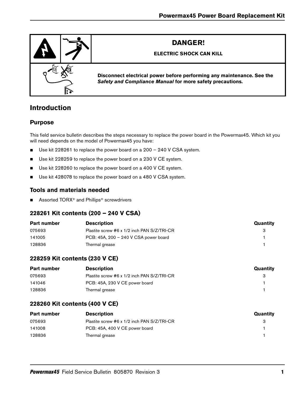

# **Introduction**

# **Purpose**

This field service bulletin describes the steps necessary to replace the power board in the Powermax45. Which kit you will need depends on the model of Powermax45 you have:

- Use kit 228261 to replace the power board on a 200 240 V CSA system.
- Use kit 228259 to replace the power board on a 230 V CE system.
- Use kit 228260 to replace the power board on a 400 V CE system.
- Use kit 428078 to replace the power board on a 480 V CSA system.

# **Tools and materials needed**

■ Assorted TORX<sup>®</sup> and Phillips<sup>®</sup> screwdrivers

# **228261 Kit contents (200 – 240 V CSA)**

| <b>Part number</b> | <b>Description</b>                          | Quantity |
|--------------------|---------------------------------------------|----------|
| 075693             | Plastite screw #6 x 1/2 inch PAN S/Z/TRI-CR |          |
| 141005             | PCB: 45A, 200 - 240 V CSA power board       |          |
| 128836             | Thermal grease                              |          |

# **228259 Kit contents (230 V CE)**

| Part number | <b>Description</b>                          | Quantity |
|-------------|---------------------------------------------|----------|
| 075693      | Plastite screw #6 x 1/2 inch PAN S/Z/TRI-CR |          |
| 141046      | PCB: 45A, 230 V CE power board              |          |
| 128836      | Thermal grease                              |          |

# **228260 Kit contents (400 V CE)**

| Part number | <b>Description</b>                          | Quantity |
|-------------|---------------------------------------------|----------|
| 075693      | Plastite screw #6 x 1/2 inch PAN S/Z/TRI-CR |          |
| 141008      | PCB: 45A, 400 V CE power board              |          |
| 128836      | Thermal grease                              |          |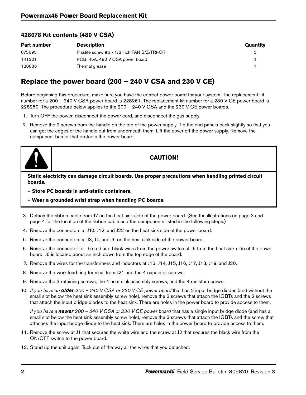# **428078 Kit contents (480 V CSA)**

| <b>Part number</b> | <b>Description</b>                          | Quantity |
|--------------------|---------------------------------------------|----------|
| 075693             | Plastite screw #6 x 1/2 inch PAN S/Z/TRI-CR |          |
| 141301             | PCB: 45A, 480 V CSA power board             |          |
| 128836             | Thermal grease                              |          |

# **Replace the power board (200 – 240 V CSA and 230 V CE)**

Before beginning this procedure, make sure you have the correct power board for your system. The replacement kit number for a 200 – 240 V CSA power board is 228261. The replacement kit number for a 230 V CE power board is 228259. The procedure below applies to the 200 – 240 V CSA and the 230 V CE power boards.

- 1. Turn OFF the power, disconnect the power cord, and disconnect the gas supply.
- 2. Remove the 2 screws from the handle on the top of the power supply. Tip the end panels back slightly so that you can get the edges of the handle out from underneath them. Lift the cover off the power supply. Remove the component barrier that protects the power board.



# **CAUTION!**

**Static electricity can damage circuit boards. Use proper precautions when handling printed circuit boards.**

- **Store PC boards in anti-static containers.**
- **Wear a grounded wrist strap when handling PC boards.**
- 3. Detach the ribbon cable from J7 on the heat sink side of the power board. (See the illustrations on [page 3](#page-4-0) and [page 4](#page-5-0) for the location of the ribbon cable and the components listed in the following steps.)
- 4. Remove the connectors at J10, J12, and J22 on the heat sink side of the power board.
- 5. Remove the connectors at J3, J4, and J5 on the heat sink side of the power board.
- 6. Remove the connector for the red and black wires from the power switch at J6 from the heat sink side of the power board. J6 is located about an inch down from the top edge of the board.
- 7. Remove the wires for the transformers and inductors at J13, J14, J15, J16, J17, J18, J19, and J20.
- 8. Remove the work lead ring terminal from J21 and the 4 capacitor screws.
- 9. Remove the 3 retaining screws, the 4 heat sink assembly screws, and the 4 resistor screws.
- 10. If you have an **older** 200 240 V CSA or 230 V CE power board that has 2 input bridge diodes (and without the small slot below the heat sink assembly screw hole), remove the 3 screws that attach the IGBTs and the 2 screws that attach the input bridge diodes to the heat sink. There are holes in the power board to provide access to them.

If you have a **newer** 200 – 240 V CSA or 230 V CE power board that has a single input bridge diode (and has a small slot below the heat sink assembly screw hole), remove the 3 screws that attach the IGBTs and the screw that attaches the input bridge diode to the heat sink. There are holes in the power board to provide access to them.

- 11. Remove the screw at J1 that secures the white wire and the screw at J2 that secures the black wire from the ON/OFF switch to the power board.
- 12. Stand up the unit again. Tuck out of the way all the wires that you detached.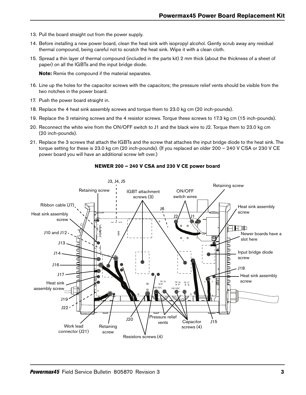- 13. Pull the board straight out from the power supply.
- 14. Before installing a new power board, clean the heat sink with isopropyl alcohol. Gently scrub away any residual thermal compound, being careful not to scratch the heat sink. Wipe it with a clean cloth.
- 15. Spread a thin layer of thermal compound (included in the parts kit) 2 mm thick (about the thickness of a sheet of paper) on all the IGBTs and the input bridge diode.

**Note:** Remix the compound if the material separates.

- 16. Line up the holes for the capacitor screws with the capacitors; the pressure relief vents should be visible from the two notches in the power board.
- 17. Push the power board straight in.
- 18. Replace the 4 heat sink assembly screws and torque them to 23.0 kg cm (20 inch-pounds).
- 19. Replace the 3 retaining screws and the 4 resistor screws. Torque these screws to 17.3 kg cm (15 inch-pounds).
- 20. Reconnect the white wire from the ON/OFF switch to J1 and the black wire to J2. Torque them to 23.0 kg cm (20 inch-pounds).
- 21. Replace the 3 screws that attach the IGBTs and the screw that attaches the input bridge diode to the heat sink. The torque setting for these is 23.0 kg cm (20 inch-pounds). (If you replaced an older 200 – 240 V CSA or 230 V CE power board you will have an additional screw left over.)

<span id="page-4-0"></span>

### **NEWER 200 – 240 V CSA and 230 V CE power board**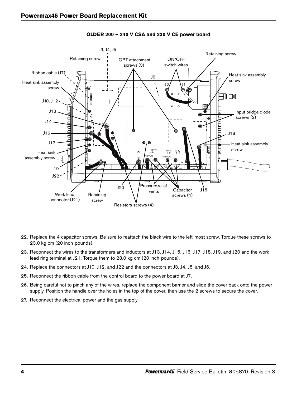<span id="page-5-0"></span>

**OLDER 200 – 240 V CSA and 230 V CE power board**

- 22. Replace the 4 capacitor screws. Be sure to reattach the black wire to the left-most screw. Torque these screws to 23.0 kg cm (20 inch-pounds).
- 23. Reconnect the wires to the transformers and inductors at J13, J14, J15, J16, J17, J18, J19, and J20 and the work lead ring terminal at J21. Torque them to 23.0 kg cm (20 inch-pounds).
- 24. Replace the connectors at J10, J12, and J22 and the connectors at J3, J4, J5, and J6.
- 25. Reconnect the ribbon cable from the control board to the power board at J7.
- 26. Being careful not to pinch any of the wires, replace the component barrier and slide the cover back onto the power supply. Position the handle over the holes in the top of the cover, then use the 2 screws to secure the cover.
- 27. Reconnect the electrical power and the gas supply.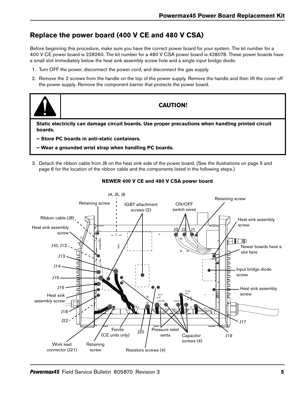# **Replace the power board (400 V CE and 480 V CSA)**

Before beginning this procedure, make sure you have the correct power board for your system. The kit number for a 400 V CE power board is 228260. The kit number for a 480 V CSA power board is 428078. These power boards have a small slot immediately below the heat sink assembly screw hole and a single input bridge diode.

- 1. Turn OFF the power, disconnect the power cord, and disconnect the gas supply.
- 2. Remove the 2 screws from the handle on the top of the power supply. Remove the handle and then lift the cover off the power supply. Remove the component barrier that protects the power board.



# **CAUTION!**

**Static electricity can damage circuit boards. Use proper precautions when handling printed circuit boards.**

- **Store PC boards in anti-static containers.**
- **Wear a grounded wrist strap when handling PC boards.**
- 3. Detach the ribbon cable from J8 on the heat sink side of the power board. (See the illustrations on [page 5](#page-6-0) and [page 6](#page-7-0) for the location of the ribbon cable and the components listed in the following steps.)

<span id="page-6-0"></span>

### **NEWER 400 V CE and 480 V CSA power board**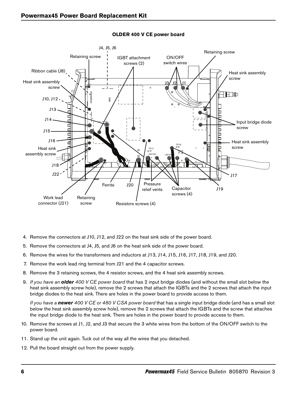<span id="page-7-0"></span>

### **OLDER 400 V CE power board**

- 4. Remove the connectors at J10, J12, and J22 on the heat sink side of the power board.
- 5. Remove the connectors at J4, J5, and J6 on the heat sink side of the power board.
- 6. Remove the wires for the transformers and inductors at J13, J14, J15, J16, J17, J18, J19, and J20.
- 7. Remove the work lead ring terminal from J21 and the 4 capacitor screws.
- 8. Remove the 3 retaining screws, the 4 resistor screws, and the 4 heat sink assembly screws.
- 9. If you have an **older** 400 V CE power board that has 2 input bridge diodes (and without the small slot below the heat sink assembly screw hole), remove the 2 screws that attach the IGBTs and the 2 screws that attach the input bridge diodes to the heat sink. There are holes in the power board to provide access to them.

If you have a **newer** 400 V CE or 480 V CSA power board that has a single input bridge diode (and has a small slot below the heat sink assembly screw hole), remove the 2 screws that attach the IGBTs and the screw that attaches the input bridge diode to the heat sink. There are holes in the power board to provide access to them.

- 10. Remove the screws at J1, J2, and J3 that secure the 3 white wires from the bottom of the ON/OFF switch to the power board.
- 11. Stand up the unit again. Tuck out of the way all the wires that you detached.
- 12. Pull the board straight out from the power supply.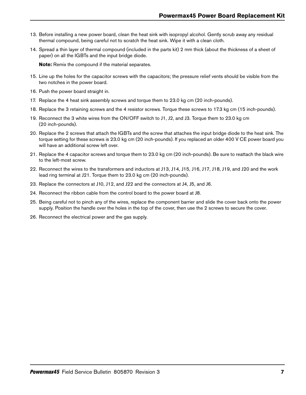- 13. Before installing a new power board, clean the heat sink with isopropyl alcohol. Gently scrub away any residual thermal compound, being careful not to scratch the heat sink. Wipe it with a clean cloth.
- 14. Spread a thin layer of thermal compound (included in the parts kit) 2 mm thick (about the thickness of a sheet of paper) on all the IGBTs and the input bridge diode.

**Note:** Remix the compound if the material separates.

- 15. Line up the holes for the capacitor screws with the capacitors; the pressure relief vents should be visible from the two notches in the power board.
- 16. Push the power board straight in.
- 17. Replace the 4 heat sink assembly screws and torque them to 23.0 kg cm (20 inch-pounds).
- 18. Replace the 3 retaining screws and the 4 resistor screws. Torque these screws to 17.3 kg cm (15 inch-pounds).
- 19. Reconnect the 3 white wires from the ON/OFF switch to J1, J2, and J3. Torque them to 23.0 kg cm (20 inch-pounds).
- 20. Replace the 2 screws that attach the IGBTs and the screw that attaches the input bridge diode to the heat sink. The torque setting for these screws is 23.0 kg cm (20 inch-pounds). If you replaced an older 400 V CE power board you will have an additional screw left over.
- 21. Replace the 4 capacitor screws and torque them to 23.0 kg cm (20 inch-pounds). Be sure to reattach the black wire to the left-most screw.
- 22. Reconnect the wires to the transformers and inductors at J13, J14, J15, J16, J17, J18, J19, and J20 and the work lead ring terminal at J21. Torque them to 23.0 kg cm (20 inch-pounds).
- 23. Replace the connectors at J10, J12, and J22 and the connectors at J4, J5, and J6.
- 24. Reconnect the ribbon cable from the control board to the power board at J8.
- 25. Being careful not to pinch any of the wires, replace the component barrier and slide the cover back onto the power supply. Position the handle over the holes in the top of the cover, then use the 2 screws to secure the cover.
- 26. Reconnect the electrical power and the gas supply.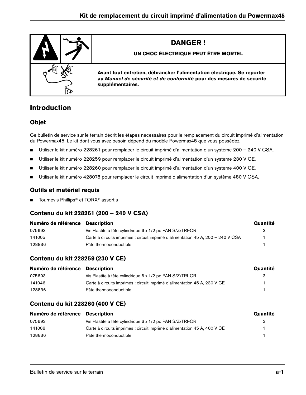

# **Introduction**

# **Objet**

Ce bulletin de service sur le terrain décrit les étapes nécessaires pour le remplacement du circuit imprimé d'alimentation du Powermax45. Le kit dont vous avez besoin dépend du modèle Powermax45 que vous possédez.

- Utiliser le kit numéro 228261 pour remplacer le circuit imprimé d'alimentation d'un système 200 240 V CSA.
- Utiliser le kit numéro 228259 pour remplacer le circuit imprimé d'alimentation d'un système 230 V CE.
- Utiliser le kit numéro 228260 pour remplacer le circuit imprimé d'alimentation d'un système 400 V CE.
- Utiliser le kit numéro 428078 pour remplacer le circuit imprimé d'alimentation d'un système 480 V CSA.

# **Outils et matériel requis**

■ Tournevis Phillips<sup>®</sup> et TORX<sup>®</sup> assortis

# **Contenu du kit 228261 (200 – 240 V CSA)**

| Numéro de référence Description |                                                                                  | Quantité |
|---------------------------------|----------------------------------------------------------------------------------|----------|
| 075693                          | Vis Plastite à tête cylindrique 6 x 1/2 po PAN S/Z/TRI-CR                        | З        |
| 141005                          | Carte à circuits imprimés : circuit imprimé d'alimentation 45 A, 200 – 240 V CSA |          |
| 128836                          | Pâte thermoconductible                                                           |          |

# **Contenu du kit 228259 (230 V CE)**

| Numéro de référence Description |                                                                           | Quantité |
|---------------------------------|---------------------------------------------------------------------------|----------|
| 075693                          | Vis Plastite à tête cylindrique 6 x 1/2 po PAN S/Z/TRI-CR                 | з        |
| 141046                          | Carte à circuits imprimés : circuit imprimé d'alimentation 45 A, 230 V CE |          |
| 128836                          | Pâte thermoconductible                                                    |          |

# **Contenu du kit 228260 (400 V CE)**

| Numéro de référence Description |                                                                           | Quantité |
|---------------------------------|---------------------------------------------------------------------------|----------|
| 075693                          | Vis Plastite à tête cylindrique 6 x 1/2 po PAN S/Z/TRI-CR                 | з        |
| 141008                          | Carte à circuits imprimés : circuit imprimé d'alimentation 45 A, 400 V CE |          |
| 128836                          | Pâte thermoconductible                                                    |          |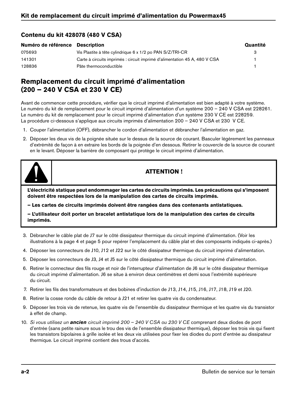# **Contenu du kit 428078 (480 V CSA)**

| Numéro de référence Description |                                                                            | Quantité |
|---------------------------------|----------------------------------------------------------------------------|----------|
| 075693                          | Vis Plastite à tête cylindrique 6 x 1/2 po PAN S/Z/TRI-CR                  |          |
| 141301                          | Carte à circuits imprimés : circuit imprimé d'alimentation 45 A, 480 V CSA |          |
| 128836                          | Pâte thermoconductible                                                     |          |

# **Remplacement du circuit imprimé d'alimentation (200 – 240 V CSA et 230 V CE)**

Avant de commencer cette procédure, vérifier que le circuit imprimé d'alimentation est bien adapté à votre système. Le numéro du kit de remplacement pour le circuit imprimé d'alimentation d'un système 200 – 240 V CSA est 228261. Le numéro du kit de remplacement pour le circuit imprimé d'alimentation d'un système 230 V CE est 228259. La procédure ci-dessous s'applique aux circuits imprimés d'alimentation 200 – 240 V CSA et 230 V CE.

- 1. Couper l'alimentation (OFF), débrancher le cordon d'alimentation et débrancher l'alimentation en gaz.
- 2. Déposer les deux vis de la poignée située sur le dessus de la source de courant. Basculer légèrement les panneaux d'extrémité de façon à en extraire les bords de la poignée d'en dessous. Retirer le couvercle de la source de courant en le levant. Déposer la barrière de composant qui protège le circuit imprimé d'alimentation.



# **ATTENTION !**

**L'électricité statique peut endommager les cartes de circuits imprimés. Les précautions qui s'imposent doivent être respectées lors de la manipulation des cartes de circuits imprimés.**

**– Les cartes de circuits imprimés doivent être rangées dans des contenants antistatiques.**

**– L'utilisateur doit porter un bracelet antistatique lors de la manipulation des cartes de circuits imprimés.**

- 3. Débrancher le câble plat de J7 sur le côté dissipateur thermique du circuit imprimé d'alimentation. (Voir les illustrations à la [page 4](#page-13-0) et [page 5](#page-14-0) pour repérer l'emplacement du câble plat et des composants indiqués ci-après.)
- 4. Déposer les connecteurs de J10, J12 et J22 sur le côté dissipateur thermique du circuit imprimé d'alimentation.
- 5. Déposer les connecteurs de J3, J4 et J5 sur le côté dissipateur thermique du circuit imprimé d'alimentation.
- 6. Retirer le connecteur des fils rouge et noir de l'interrupteur d'alimentation de J6 sur le côté dissipateur thermique du circuit imprimé d'alimentation. J6 se situe à environ deux centimètres et demi sous l'extrémité supérieure du circuit.
- 7. Retirer les fils des transformateurs et des bobines d'induction de J13, J14, J15, J16, J17, J18, J19 et J20.
- 8. Retirer la cosse ronde du câble de retour à J21 et retirer les quatre vis du condensateur.
- 9. Déposer les trois vis de retenue, les quatre vis de l'ensemble du dissipateur thermique et les quatre vis du transistor à effet de champ.
- 10. Si vous utilisez un **ancien** circuit imprimé 200 240 V CSA ou 230 V CE comprenant deux diodes de pont d'entrée (sans petite rainure sous le trou des vis de l'ensemble dissipateur thermique), déposer les trois vis qui fixent les transistors bipolaires à grille isolée et les deux vis utilisées pour fixer les diodes du pont d'entrée au dissipateur thermique. Le circuit imprimé contient des trous d'accès.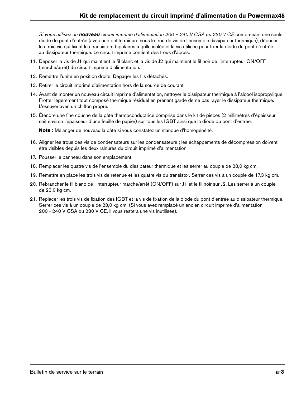Si vous utilisez un **nouveau** circuit imprimé d'alimentation 200 – 240 V CSA ou 230 V CE comprenant une seule diode de pont d'entrée (avec une petite rainure sous le trou de vis de l'ensemble dissipateur thermique), déposer les trois vis qui fixent les transistors bipolaires à grille isolée et la vis utilisée pour fixer la diode du pont d'entrée au dissipateur thermique. Le circuit imprimé contient des trous d'accès.

- 11. Déposer la vis de J1 qui maintient le fil blanc et la vis de J2 qui maintient le fil noir de l'interrupteur ON/OFF (marche/arrêt) du circuit imprimé d'alimentation.
- 12. Remettre l'unité en position droite. Dégager les fils détachés.
- 13. Retirer le circuit imprimé d'alimentation hors de la source de courant.
- 14. Avant de monter un nouveau circuit imprimé d'alimentation, nettoyer le dissipateur thermique à l'alcool isopropylique. Frotter légèrement tout composé thermique résiduel en prenant garde de ne pas rayer le dissipateur thermique. L'essuyer avec un chiffon propre.
- 15. Étendre une fine couche de la pâte thermoconductrice comprise dans le kit de pièces (2 millimètres d'épaisseur, soit environ l'épaisseur d'une feuille de papier) sur tous les IGBT ainsi que la diode du pont d'entrée.

**Note :** Mélanger de nouveau la pâte si vous constatez un manque d'homogénéité.

- 16. Aligner les trous des vis de condensateurs sur les condensateurs ; les échappements de décompression doivent être visibles depuis les deux rainures du circuit imprimé d'alimentation.
- 17. Pousser le panneau dans son emplacement.
- 18. Remplacer les quatre vis de l'ensemble du dissipateur thermique et les serrer au couple de 23,0 kg cm.
- 19. Remettre en place les trois vis de retenue et les quatre vis du transistor. Serrer ces vis à un couple de 17,3 kg cm.
- 20. Rebrancher le fil blanc de l'interrupteur marche/arrêt (ON/OFF) sur J1 et le fil noir sur J2. Les serrer à un couple de 23,0 kg cm.
- 21. Replacer les trois vis de fixation des IGBT et la vis de fixation de la diode du pont d'entrée au dissipateur thermique. Serrer ces vis à un couple de 23,0 kg cm. (Si vous avez remplacé un ancien circuit imprimé d'alimentation 200 - 240 V CSA ou 230 V CE, il vous restera une vis inutilisée).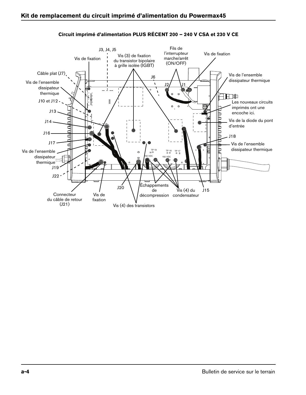<span id="page-13-0"></span>

### **Circuit imprimé d'alimentation PLUS RÉCENT 200 – 240 V CSA et 230 V CE**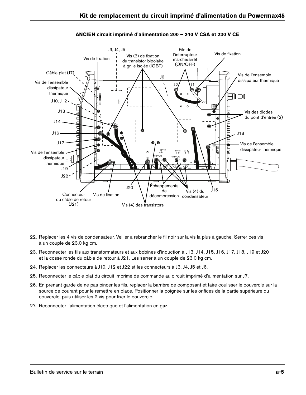<span id="page-14-0"></span>

### **ANCIEN circuit imprimé d'alimentation 200 – 240 V CSA et 230 V CE**

- 22. Replacer les 4 vis de condensateur. Veiller à rebrancher le fil noir sur la vis la plus à gauche. Serrer ces vis à un couple de 23,0 kg cm.
- 23. Reconnecter les fils aux transformateurs et aux bobines d'induction à J13, J14, J15, J16, J17, J18, J19 et J20 et la cosse ronde du câble de retour à J21. Les serrer à un couple de 23,0 kg cm.
- 24. Replacer les connecteurs à J10, J12 et J22 et les connecteurs à J3, J4, J5 et J6.
- 25. Reconnecter le câble plat du circuit imprimé de commande au circuit imprimé d'alimentation sur J7.
- 26. En prenant garde de ne pas pincer les fils, replacer la barrière de composant et faire coulisser le couvercle sur la source de courant pour le remettre en place. Positionner la poignée sur les orifices de la partie supérieure du couvercle, puis utiliser les 2 vis pour fixer le couvercle.
- 27. Reconnecter l'alimentation électrique et l'alimentation en gaz.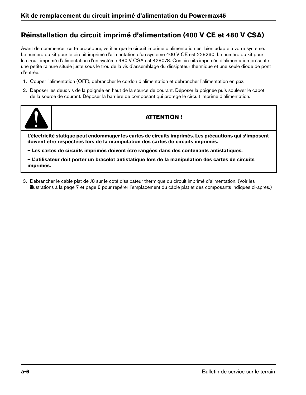# **Réinstallation du circuit imprimé d'alimentation (400 V CE et 480 V CSA)**

Avant de commencer cette procédure, vérifier que le circuit imprimé d'alimentation est bien adapté à votre système. Le numéro du kit pour le circuit imprimé d'alimentation d'un système 400 V CE est 228260. Le numéro du kit pour le circuit imprimé d'alimentation d'un système 480 V CSA est 428078. Ces circuits imprimés d'alimentation présente une petite rainure située juste sous le trou de la vis d'assemblage du dissipateur thermique et une seule diode de pont d'entrée.

- 1. Couper l'alimentation (OFF), débrancher le cordon d'alimentation et débrancher l'alimentation en gaz.
- 2. Déposer les deux vis de la poignée en haut de la source de courant. Déposer la poignée puis soulever le capot de la source de courant. Déposer la barrière de composant qui protège le circuit imprimé d'alimentation.



# **ATTENTION !**

**L'électricité statique peut endommager les cartes de circuits imprimés. Les précautions qui s'imposent doivent être respectées lors de la manipulation des cartes de circuits imprimés.**

**– Les cartes de circuits imprimés doivent être rangées dans des contenants antistatiques.**

**– L'utilisateur doit porter un bracelet antistatique lors de la manipulation des cartes de circuits imprimés.**

3. Débrancher le câble plat de J8 sur le côté dissipateur thermique du circuit imprimé d'alimentation. (Voir les illustrations à la [page 7](#page-16-0) et [page 8](#page-17-0) pour repérer l'emplacement du câble plat et des composants indiqués ci-après.)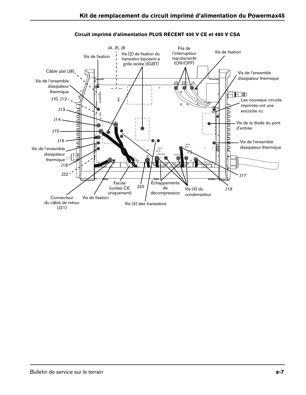<span id="page-16-0"></span>

## **Circuit imprimé d'alimentation PLUS RÉCENT 400 V CE et 480 V CSA**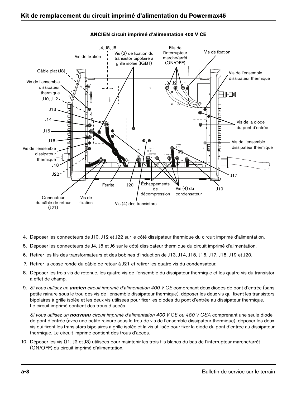<span id="page-17-0"></span>

## **ANCIEN circuit imprimé d'alimentation 400 V CE**

- 4. Déposer les connecteurs de J10, J12 et J22 sur le côté dissipateur thermique du circuit imprimé d'alimentation.
- 5. Déposer les connecteurs de J4, J5 et J6 sur le côté dissipateur thermique du circuit imprimé d'alimentation.
- 6. Retirer les fils des transformateurs et des bobines d'induction de J13, J14, J15, J16, J17, J18, J19 et J20.
- 7. Retirer la cosse ronde du câble de retour à J21 et retirer les quatre vis du condensateur.
- 8. Déposer les trois vis de retenue, les quatre vis de l'ensemble du dissipateur thermique et les quatre vis du transistor à effet de champ.
- 9. Si vous utilisez un **ancien** circuit imprimé d'alimentation 400 V CE comprenant deux diodes de pont d'entrée (sans petite rainure sous le trou des vis de l'ensemble dissipateur thermique), déposer les deux vis qui fixent les transistors bipolaires à grille isolée et les deux vis utilisées pour fixer les diodes du pont d'entrée au dissipateur thermique. Le circuit imprimé contient des trous d'accès.

Si vous utilisez un **nouveau** circuit imprimé d'alimentation 400 V CE ou 480 V CSA comprenant une seule diode de pont d'entrée (avec une petite rainure sous le trou de vis de l'ensemble dissipateur thermique), déposer les deux vis qui fixent les transistors bipolaires à grille isolée et la vis utilisée pour fixer la diode du pont d'entrée au dissipateur thermique. Le circuit imprimé contient des trous d'accès.

10. Déposer les vis (J1, J2 et J3) utilisées pour maintenir les trois fils blancs du bas de l'interrupteur marche/arrêt (ON/OFF) du circuit imprimé d'alimentation.